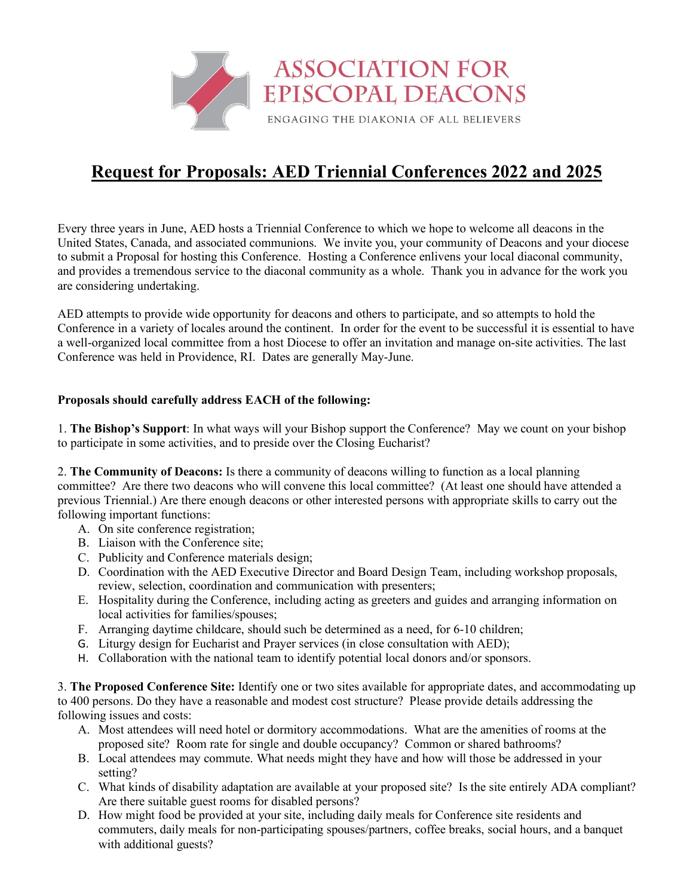

## **Request for Proposals: AED Triennial Conferences 2022 and 2025**

Every three years in June, AED hosts a Triennial Conference to which we hope to welcome all deacons in the United States, Canada, and associated communions. We invite you, your community of Deacons and your diocese to submit a Proposal for hosting this Conference. Hosting a Conference enlivens your local diaconal community, and provides a tremendous service to the diaconal community as a whole. Thank you in advance for the work you are considering undertaking.

AED attempts to provide wide opportunity for deacons and others to participate, and so attempts to hold the Conference in a variety of locales around the continent. In order for the event to be successful it is essential to have a well-organized local committee from a host Diocese to offer an invitation and manage on-site activities. The last Conference was held in Providence, RI. Dates are generally May-June.

## **Proposals should carefully address EACH of the following:**

1. **The Bishop's Support**: In what ways will your Bishop support the Conference? May we count on your bishop to participate in some activities, and to preside over the Closing Eucharist?

2. **The Community of Deacons:** Is there a community of deacons willing to function as a local planning committee? Are there two deacons who will convene this local committee? (At least one should have attended a previous Triennial.) Are there enough deacons or other interested persons with appropriate skills to carry out the following important functions:

- A. On site conference registration;
- B. Liaison with the Conference site;
- C. Publicity and Conference materials design;
- D. Coordination with the AED Executive Director and Board Design Team, including workshop proposals, review, selection, coordination and communication with presenters;
- E. Hospitality during the Conference, including acting as greeters and guides and arranging information on local activities for families/spouses;
- F. Arranging daytime childcare, should such be determined as a need, for 6-10 children;
- G. Liturgy design for Eucharist and Prayer services (in close consultation with AED);
- H. Collaboration with the national team to identify potential local donors and/or sponsors.

3. **The Proposed Conference Site:** Identify one or two sites available for appropriate dates, and accommodating up to 400 persons. Do they have a reasonable and modest cost structure? Please provide details addressing the following issues and costs:

- A. Most attendees will need hotel or dormitory accommodations. What are the amenities of rooms at the proposed site? Room rate for single and double occupancy? Common or shared bathrooms?
- B. Local attendees may commute. What needs might they have and how will those be addressed in your setting?
- C. What kinds of disability adaptation are available at your proposed site? Is the site entirely ADA compliant? Are there suitable guest rooms for disabled persons?
- D. How might food be provided at your site, including daily meals for Conference site residents and commuters, daily meals for non-participating spouses/partners, coffee breaks, social hours, and a banquet with additional guests?